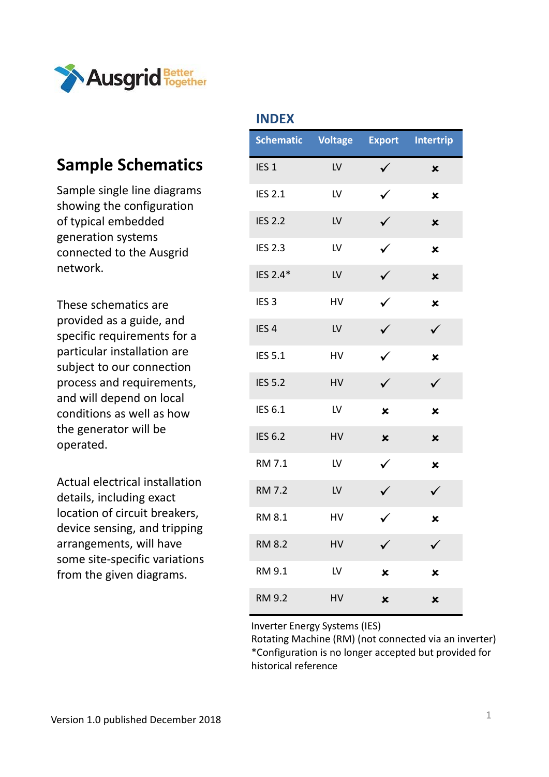

#### **Sample Schematics**

Sample single line diagrams showing the configuration of typical embedded generation systems connected to the Ausgrid network.

These schematics are provided as a guide, and specific requirements for a particular installation are subject to our connection process and requirements, and will depend on local conditions as well as how the generator will be operated.

Actual electrical installation details, including exact location of circuit breakers, device sensing, and tripping arrangements, will have some site‐specific variations from the given diagrams.

| ┅▾◡└∧            |                |                           |                           |
|------------------|----------------|---------------------------|---------------------------|
| <b>Schematic</b> | <b>Voltage</b> | <b>Export</b>             | <b>Intertrip</b>          |
| IES <sub>1</sub> | LV             | $\checkmark$              | $\boldsymbol{\mathsf{x}}$ |
| <b>IES 2.1</b>   | LV             | $\checkmark$              | $\mathbf x$               |
| <b>IES 2.2</b>   | LV             | $\checkmark$              | $\boldsymbol{\mathsf{x}}$ |
| <b>IES 2.3</b>   | LV             | $\checkmark$              | $\boldsymbol{\mathsf{x}}$ |
| IES 2.4*         | LV             | $\checkmark$              | $\overline{\mathbf{x}}$   |
| IES <sub>3</sub> | HV             | $\checkmark$              | $\mathbf x$               |
| IES <sub>4</sub> | LV             | $\checkmark$              | $\checkmark$              |
| <b>IES 5.1</b>   | HV             | $\checkmark$              | ×                         |
| <b>IES 5.2</b>   | HV             | $\checkmark$              | $\checkmark$              |
| IES 6.1          | LV             | $\mathbf x$               | $\mathbf x$               |
| <b>IES 6.2</b>   | HV             | $\boldsymbol{\mathsf{x}}$ | $\mathbf x$               |
| <b>RM 7.1</b>    | LV             | $\checkmark$              | ×                         |
| <b>RM 7.2</b>    | LV             | $\checkmark$              | $\checkmark$              |
| <b>RM 8.1</b>    | HV             | $\checkmark$              | ×                         |
| <b>RM 8.2</b>    | HV             |                           |                           |
| RM 9.1           | LV             | ×                         | $\overline{\mathbf{x}}$   |
| <b>RM 9.2</b>    | HV             | ×                         | $\mathbf x$               |

**INDEX**

Inverter Energy Systems (IES)

Rotating Machine (RM) (not connected via an inverter) \*Configuration is no longer accepted but provided for historical reference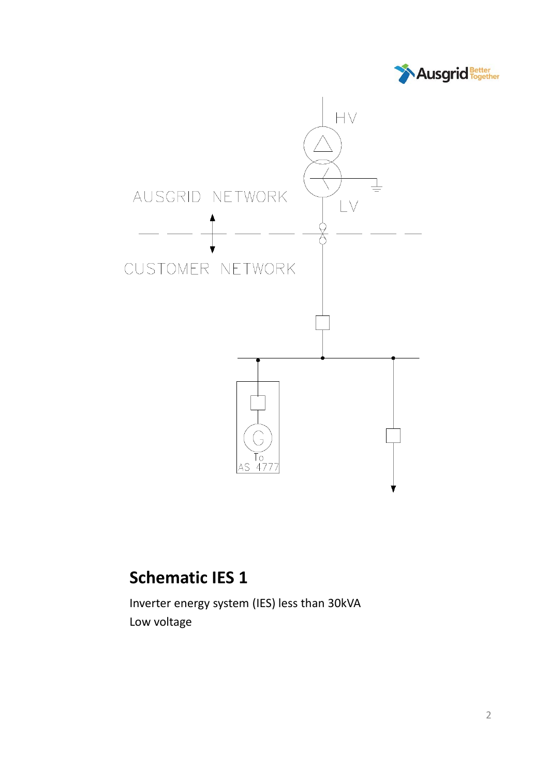



### **Schematic IES 1**

Inverter energy system (IES) less than 30kVA Low voltage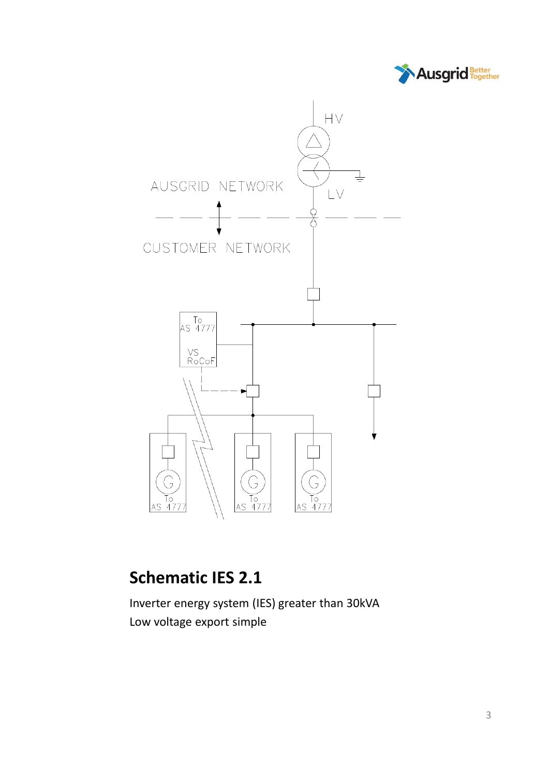



# **Schematic IES 2.1**

Inverter energy system (IES) greater than 30kVA Low voltage export simple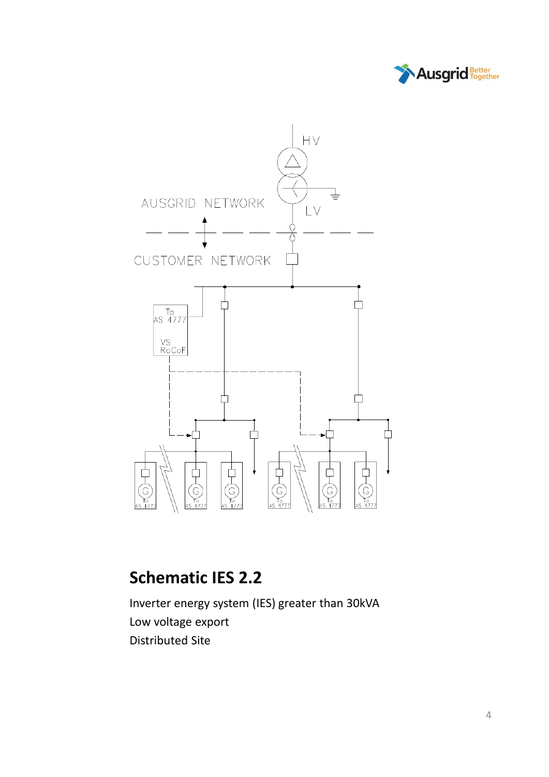



#### **Schematic IES 2.2**

Inverter energy system (IES) greater than 30kVA Low voltage export Distributed Site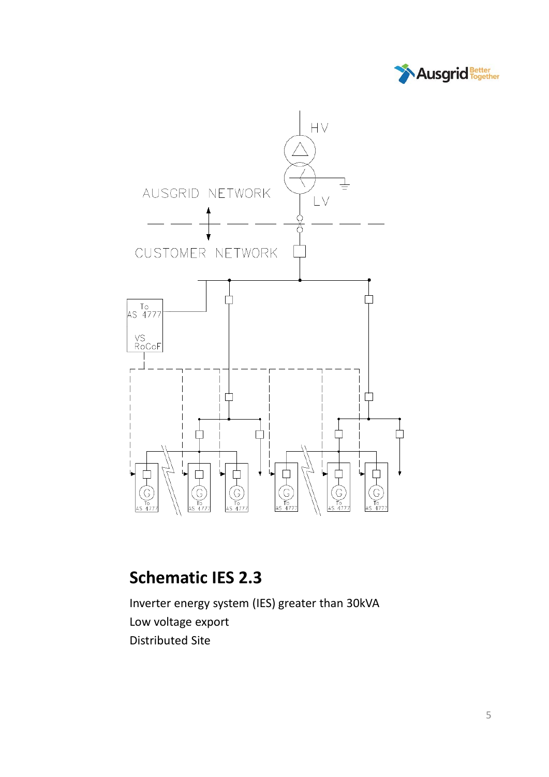



### **Schematic IES 2.3**

Inverter energy system (IES) greater than 30kVA Low voltage export Distributed Site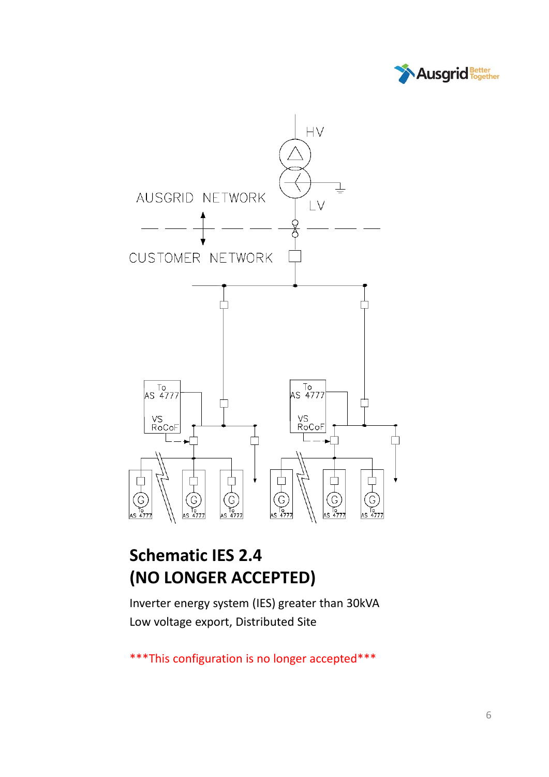



### **Schematic IES 2.4 (NO LONGER ACCEPTED)**

Inverter energy system (IES) greater than 30kVA Low voltage export, Distributed Site

\*\*\*This configuration is no longer accepted\*\*\*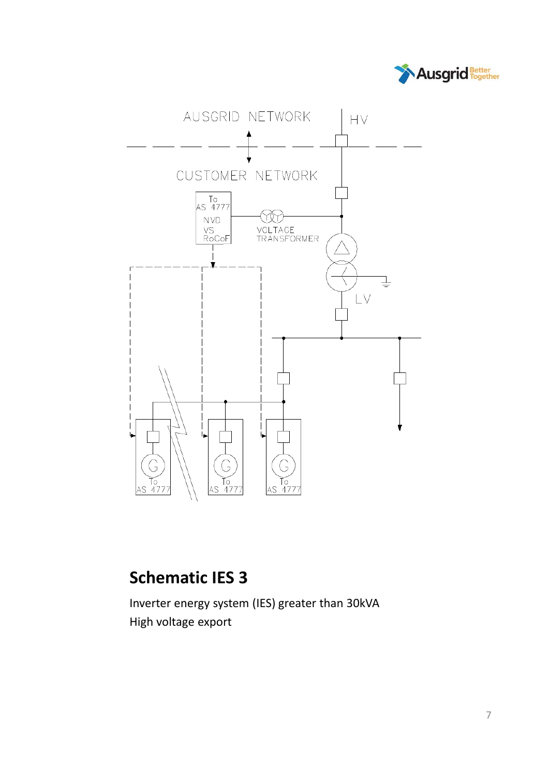



### **Schematic IES 3**

Inverter energy system (IES) greater than 30kVA High voltage export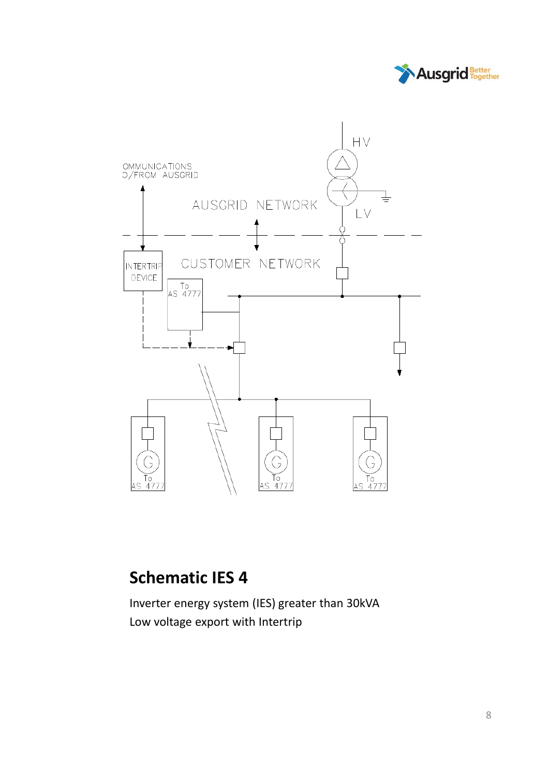



#### **Schematic IES 4**

Inverter energy system (IES) greater than 30kVA Low voltage export with Intertrip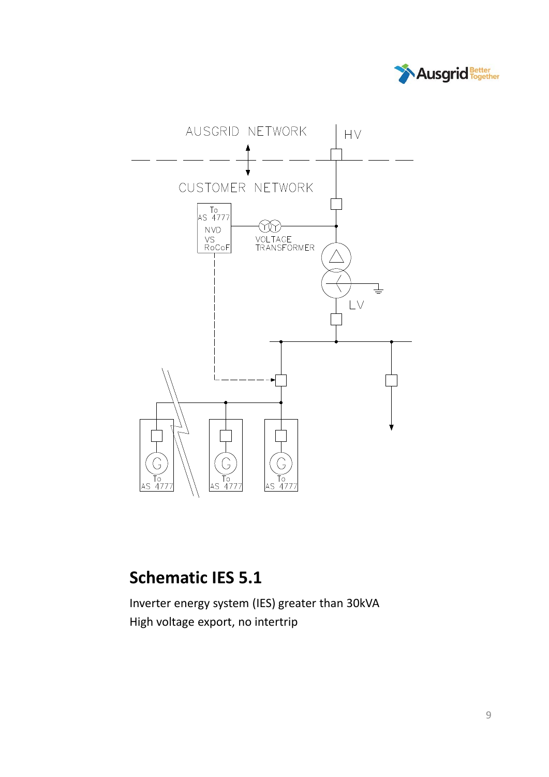



# **Schematic IES 5.1**

Inverter energy system (IES) greater than 30kVA High voltage export, no intertrip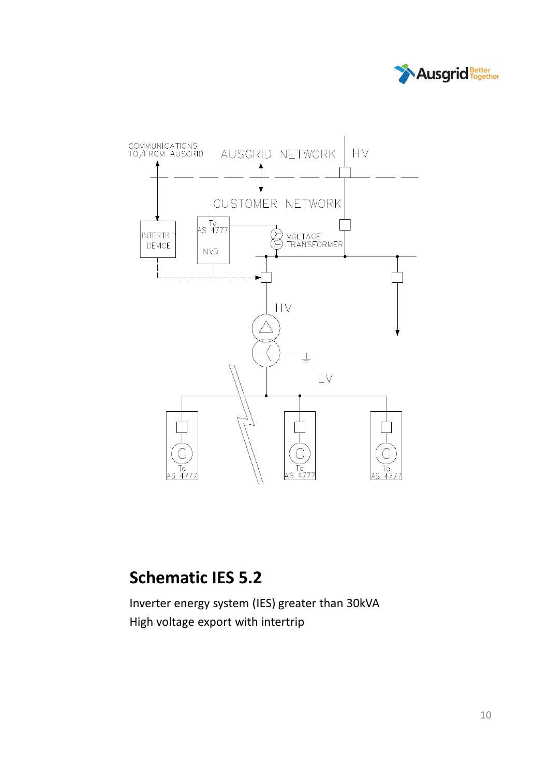



### **Schematic IES 5.2**

Inverter energy system (IES) greater than 30kVA High voltage export with intertrip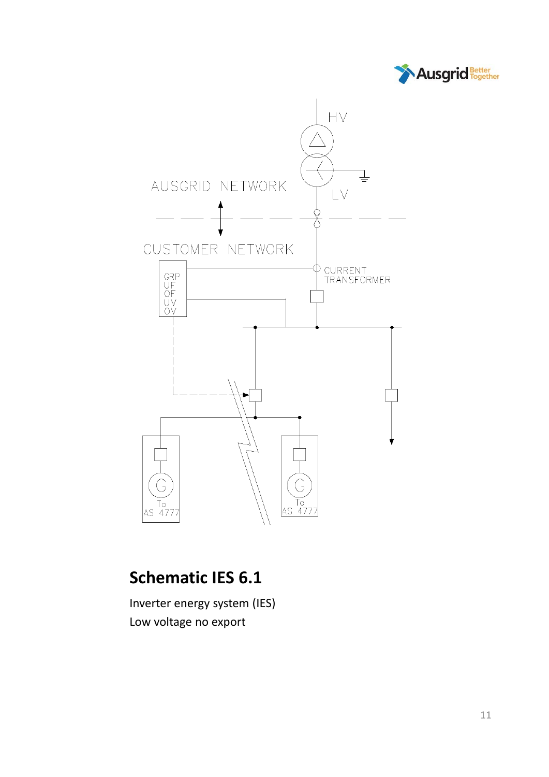



# **Schematic IES 6.1**

Inverter energy system (IES) Low voltage no export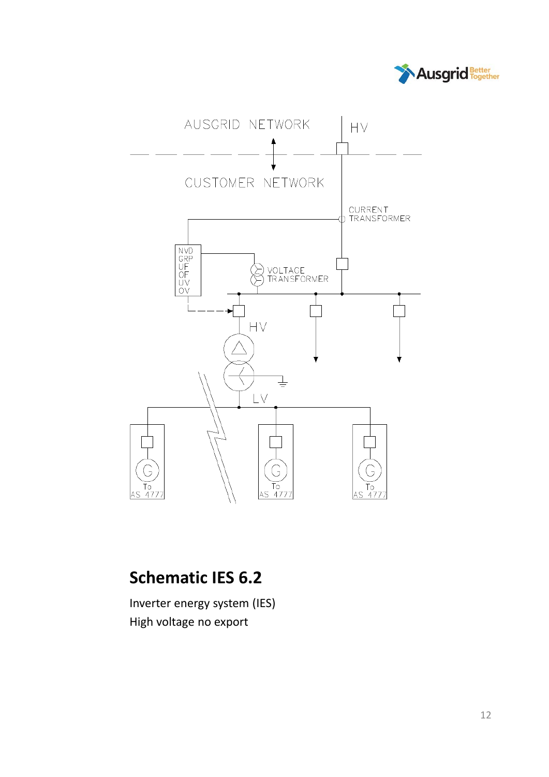



# **Schematic IES 6.2**

Inverter energy system (IES) High voltage no export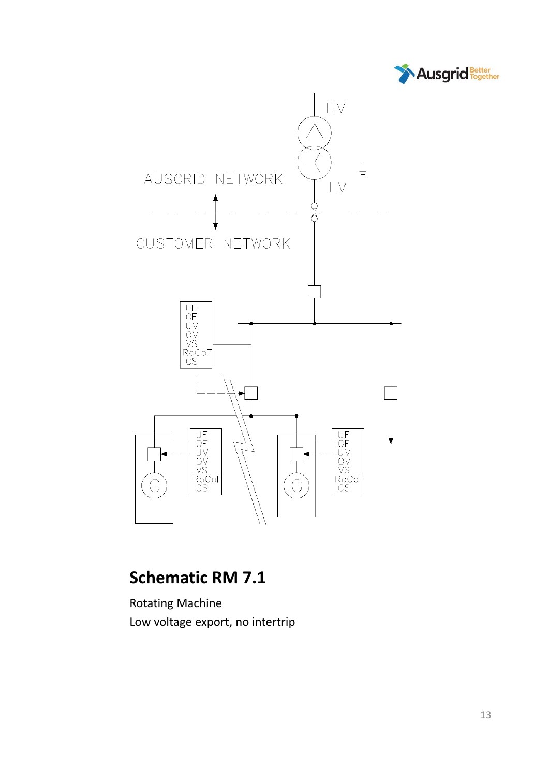



#### **Schematic RM 7.1**

Rotating Machine Low voltage export, no intertrip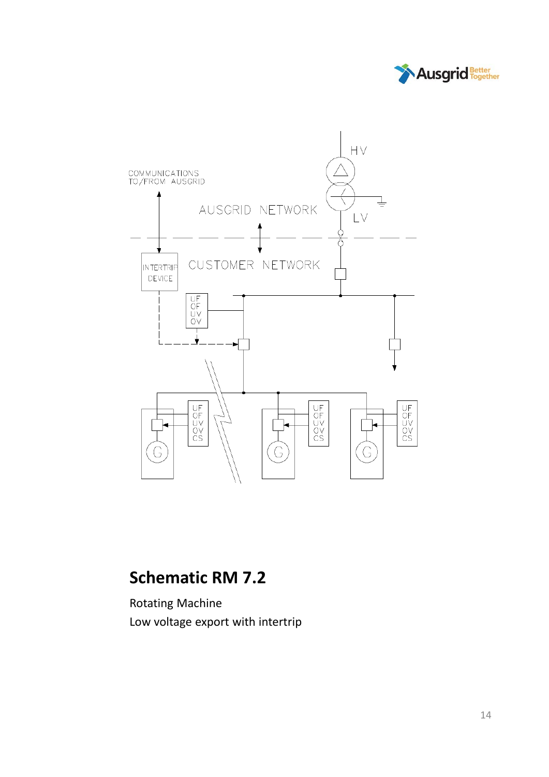



# **Schematic RM 7.2**

Rotating Machine Low voltage export with intertrip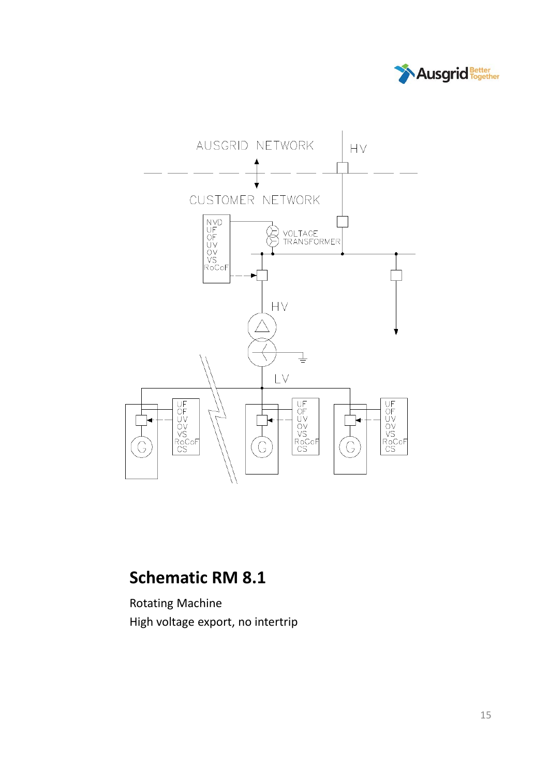



#### **Schematic RM 8.1**

Rotating Machine High voltage export, no intertrip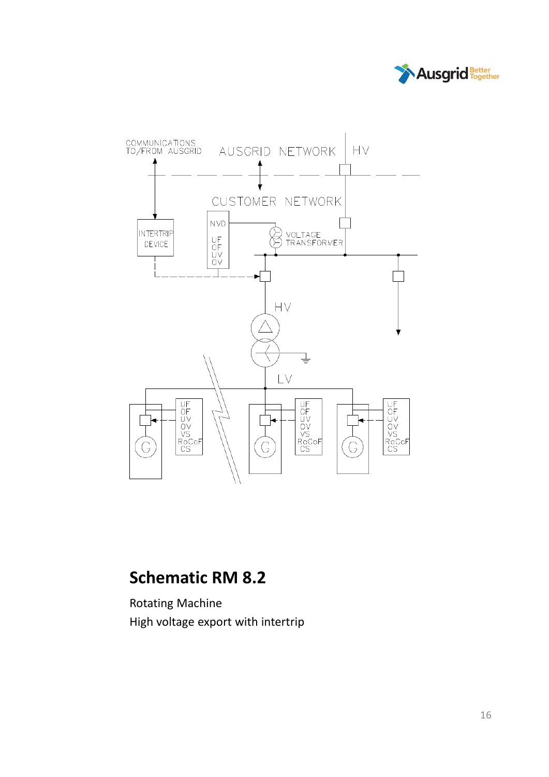



### **Schematic RM 8.2**

Rotating Machine High voltage export with intertrip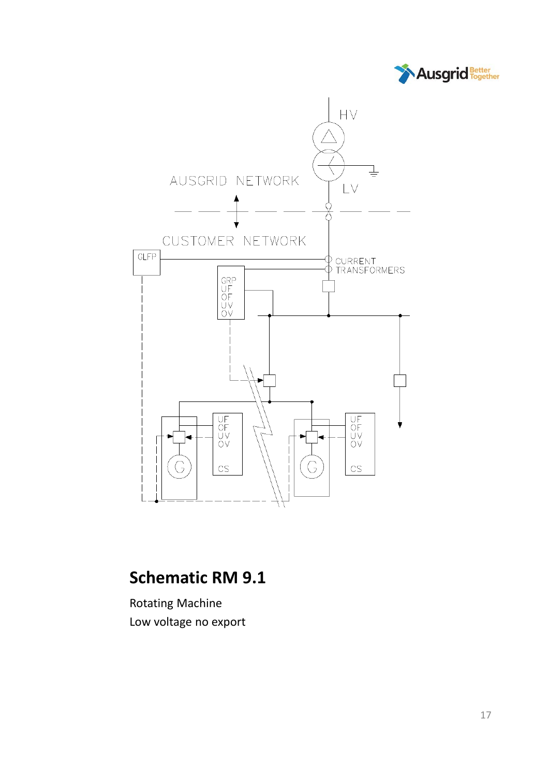



### **Schematic RM 9.1**

Rotating Machine Low voltage no export